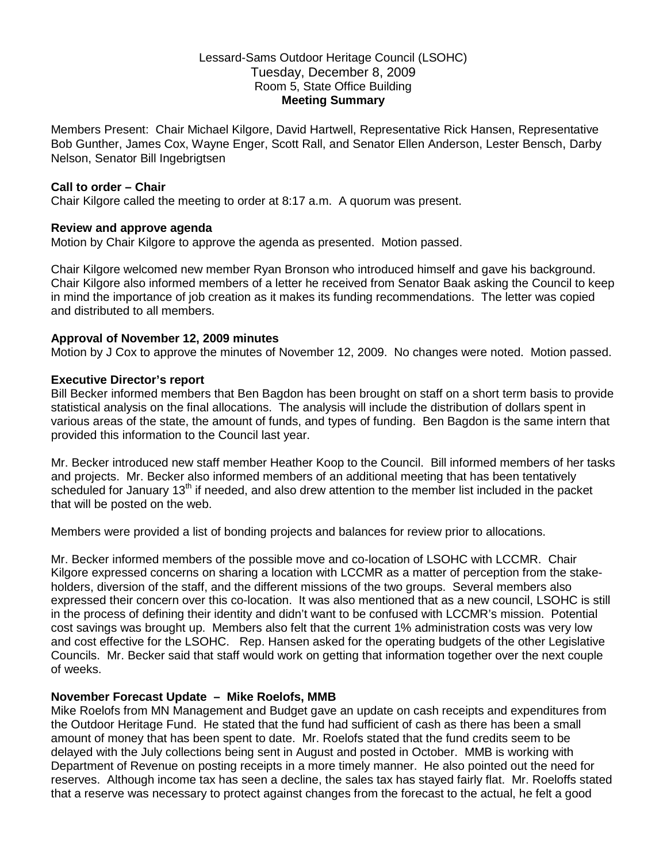## Lessard-Sams Outdoor Heritage Council (LSOHC) Tuesday, December 8, 2009 Room 5, State Office Building **Meeting Summary**

Members Present: Chair Michael Kilgore, David Hartwell, Representative Rick Hansen, Representative Bob Gunther, James Cox, Wayne Enger, Scott Rall, and Senator Ellen Anderson, Lester Bensch, Darby Nelson, Senator Bill Ingebrigtsen

### **Call to order – Chair**

Chair Kilgore called the meeting to order at 8:17 a.m. A quorum was present.

### **Review and approve agenda**

Motion by Chair Kilgore to approve the agenda as presented. Motion passed.

Chair Kilgore welcomed new member Ryan Bronson who introduced himself and gave his background. Chair Kilgore also informed members of a letter he received from Senator Baak asking the Council to keep in mind the importance of job creation as it makes its funding recommendations. The letter was copied and distributed to all members.

### **Approval of November 12, 2009 minutes**

Motion by J Cox to approve the minutes of November 12, 2009. No changes were noted. Motion passed.

### **Executive Director's report**

Bill Becker informed members that Ben Bagdon has been brought on staff on a short term basis to provide statistical analysis on the final allocations. The analysis will include the distribution of dollars spent in various areas of the state, the amount of funds, and types of funding. Ben Bagdon is the same intern that provided this information to the Council last year.

Mr. Becker introduced new staff member Heather Koop to the Council. Bill informed members of her tasks and projects. Mr. Becker also informed members of an additional meeting that has been tentatively scheduled for January 13<sup>th</sup> if needed, and also drew attention to the member list included in the packet that will be posted on the web.

Members were provided a list of bonding projects and balances for review prior to allocations.

Mr. Becker informed members of the possible move and co-location of LSOHC with LCCMR. Chair Kilgore expressed concerns on sharing a location with LCCMR as a matter of perception from the stakeholders, diversion of the staff, and the different missions of the two groups. Several members also expressed their concern over this co-location. It was also mentioned that as a new council, LSOHC is still in the process of defining their identity and didn't want to be confused with LCCMR's mission. Potential cost savings was brought up. Members also felt that the current 1% administration costs was very low and cost effective for the LSOHC. Rep. Hansen asked for the operating budgets of the other Legislative Councils. Mr. Becker said that staff would work on getting that information together over the next couple of weeks.

## **November Forecast Update – Mike Roelofs, MMB**

Mike Roelofs from MN Management and Budget gave an update on cash receipts and expenditures from the Outdoor Heritage Fund. He stated that the fund had sufficient of cash as there has been a small amount of money that has been spent to date. Mr. Roelofs stated that the fund credits seem to be delayed with the July collections being sent in August and posted in October. MMB is working with Department of Revenue on posting receipts in a more timely manner. He also pointed out the need for reserves. Although income tax has seen a decline, the sales tax has stayed fairly flat. Mr. Roeloffs stated that a reserve was necessary to protect against changes from the forecast to the actual, he felt a good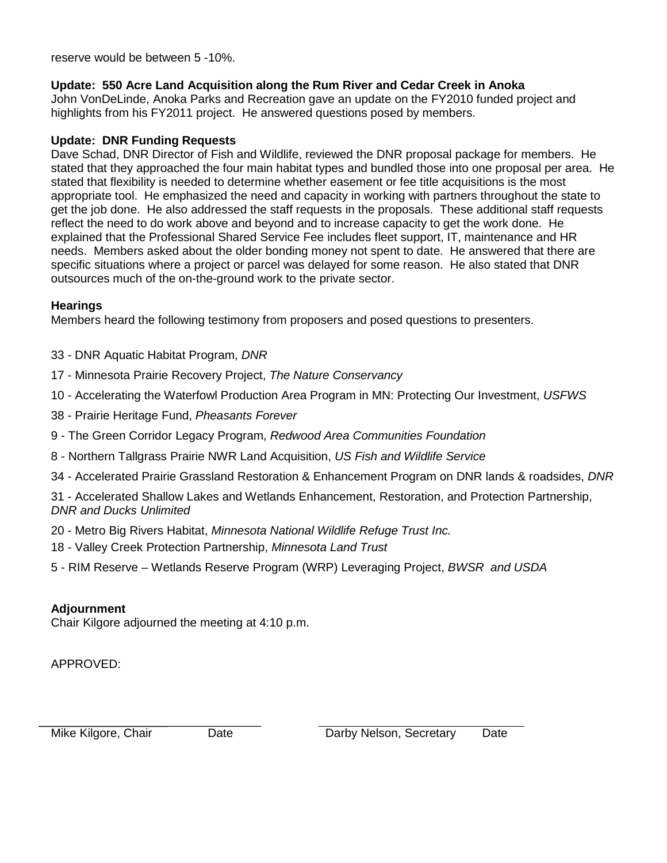reserve would be between 5 -10%.

# **Update: 550 Acre Land Acquisition along the Rum River and Cedar Creek in Anoka**

John VonDeLinde, Anoka Parks and Recreation gave an update on the FY2010 funded project and highlights from his FY2011 project. He answered questions posed by members.

## **Update: DNR Funding Requests**

Dave Schad, DNR Director of Fish and Wildlife, reviewed the DNR proposal package for members. He stated that they approached the four main habitat types and bundled those into one proposal per area. He stated that flexibility is needed to determine whether easement or fee title acquisitions is the most appropriate tool. He emphasized the need and capacity in working with partners throughout the state to get the job done. He also addressed the staff requests in the proposals. These additional staff requests reflect the need to do work above and beyond and to increase capacity to get the work done. He explained that the Professional Shared Service Fee includes fleet support, IT, maintenance and HR needs. Members asked about the older bonding money not spent to date. He answered that there are specific situations where a project or parcel was delayed for some reason. He also stated that DNR outsources much of the on-the-ground work to the private sector.

## **Hearings**

Members heard the following testimony from proposers and posed questions to presenters.

- 33 DNR Aquatic Habitat Program, *DNR*
- 17 Minnesota Prairie Recovery Project, *The Nature Conservancy*
- 10 Accelerating the Waterfowl Production Area Program in MN: Protecting Our Investment, *USFWS*
- 38 Prairie Heritage Fund, *Pheasants Forever*
- 9 The Green Corridor Legacy Program, *Redwood Area Communities Foundation*
- 8 Northern Tallgrass Prairie NWR Land Acquisition, *US Fish and Wildlife Service*
- 34 Accelerated Prairie Grassland Restoration & Enhancement Program on DNR lands & roadsides, *DNR*

31 - Accelerated Shallow Lakes and Wetlands Enhancement, Restoration, and Protection Partnership, *DNR and Ducks Unlimited*

- 20 Metro Big Rivers Habitat, *Minnesota National Wildlife Refuge Trust Inc.*
- 18 Valley Creek Protection Partnership, *Minnesota Land Trust*
- 5 RIM Reserve Wetlands Reserve Program (WRP) Leveraging Project, *BWSR and USDA*

## **Adjournment**

Chair Kilgore adjourned the meeting at 4:10 p.m.

APPROVED:

Mike Kilgore, Chair Date Darby Nelson, Secretary Date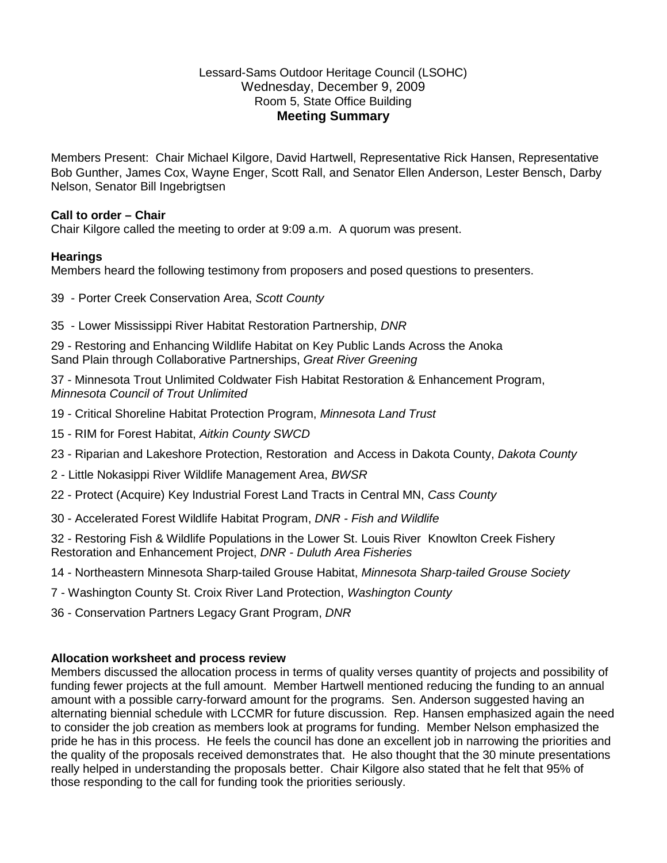## Lessard-Sams Outdoor Heritage Council (LSOHC) Wednesday, December 9, 2009 Room 5, State Office Building **Meeting Summary**

Members Present: Chair Michael Kilgore, David Hartwell, Representative Rick Hansen, Representative Bob Gunther, James Cox, Wayne Enger, Scott Rall, and Senator Ellen Anderson, Lester Bensch, Darby Nelson, Senator Bill Ingebrigtsen

## **Call to order – Chair**

Chair Kilgore called the meeting to order at 9:09 a.m. A quorum was present.

#### **Hearings**

Members heard the following testimony from proposers and posed questions to presenters.

- 39 Porter Creek Conservation Area, *Scott County*
- 35 Lower Mississippi River Habitat Restoration Partnership, *DNR*

29 - Restoring and Enhancing Wildlife Habitat on Key Public Lands Across the Anoka Sand Plain through Collaborative Partnerships, *Great River Greening*

37 - Minnesota Trout Unlimited Coldwater Fish Habitat Restoration & Enhancement Program, *Minnesota Council of Trout Unlimited*

- 19 Critical Shoreline Habitat Protection Program, *Minnesota Land Trust*
- 15 RIM for Forest Habitat, *Aitkin County SWCD*
- 23 Riparian and Lakeshore Protection, Restoration and Access in Dakota County, *Dakota County*
- 2 Little Nokasippi River Wildlife Management Area, *BWSR*
- 22 Protect (Acquire) Key Industrial Forest Land Tracts in Central MN, *Cass County*
- 30 Accelerated Forest Wildlife Habitat Program, *DNR - Fish and Wildlife*

32 - Restoring Fish & Wildlife Populations in the Lower St. Louis River Knowlton Creek Fishery Restoration and Enhancement Project, *DNR - Duluth Area Fisheries*

- 14 Northeastern Minnesota Sharp-tailed Grouse Habitat, *Minnesota Sharp-tailed Grouse Society*
- 7 Washington County St. Croix River Land Protection, *Washington County*
- 36 Conservation Partners Legacy Grant Program, *DNR*

#### **Allocation worksheet and process review**

Members discussed the allocation process in terms of quality verses quantity of projects and possibility of funding fewer projects at the full amount. Member Hartwell mentioned reducing the funding to an annual amount with a possible carry-forward amount for the programs. Sen. Anderson suggested having an alternating biennial schedule with LCCMR for future discussion. Rep. Hansen emphasized again the need to consider the job creation as members look at programs for funding. Member Nelson emphasized the pride he has in this process. He feels the council has done an excellent job in narrowing the priorities and the quality of the proposals received demonstrates that. He also thought that the 30 minute presentations really helped in understanding the proposals better. Chair Kilgore also stated that he felt that 95% of those responding to the call for funding took the priorities seriously.